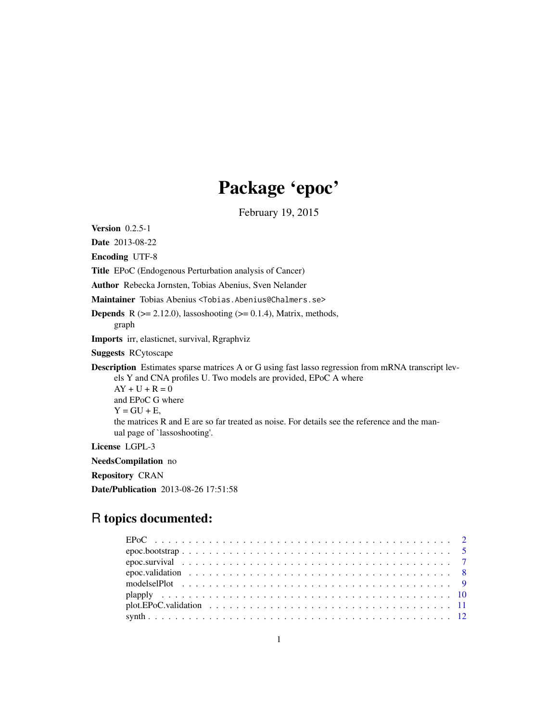# Package 'epoc'

February 19, 2015

<span id="page-0-0"></span>**Version** 0.2.5-1

Date 2013-08-22

Encoding UTF-8

Title EPoC (Endogenous Perturbation analysis of Cancer)

Author Rebecka Jornsten, Tobias Abenius, Sven Nelander

Maintainer Tobias Abenius <Tobias.Abenius@Chalmers.se>

**Depends** R  $(>= 2.12.0)$ , lassoshooting  $(>= 0.1.4)$ , Matrix, methods, graph

Imports irr, elasticnet, survival, Rgraphviz

Suggests RCytoscape

Description Estimates sparse matrices A or G using fast lasso regression from mRNA transcript levels Y and CNA profiles U. Two models are provided, EPoC A where

 $AY + U + R = 0$ and EPoC G where  $Y = GU + E$ , the matrices R and E are so far treated as noise. For details see the reference and the manual page of `lassoshooting'.

License LGPL-3

NeedsCompilation no

Repository CRAN

Date/Publication 2013-08-26 17:51:58

# R topics documented:

| $plot.EPoC.validation \dots \dots \dots \dots \dots \dots \dots \dots \dots \dots \dots \dots \dots \dots \dots \dots$ |  |
|------------------------------------------------------------------------------------------------------------------------|--|
|                                                                                                                        |  |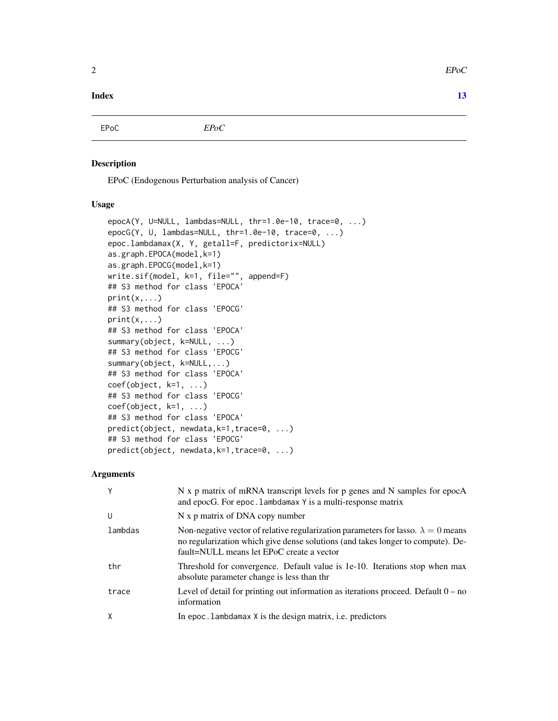# <span id="page-1-0"></span>**Index** [13](#page-12-0)

EPoC *EPoC*

#### <span id="page-1-1"></span>Description

EPoC (Endogenous Perturbation analysis of Cancer)

# Usage

```
epocA(Y, U=NULL, lambdas=NULL, thr=1.0e-10, trace=0, ...)
epocG(Y, U, lambdas=NULL, thr=1.0e-10, trace=0, ...)
epoc.lambdamax(X, Y, getall=F, predictorix=NULL)
as.graph.EPOCA(model,k=1)
as.graph.EPOCG(model,k=1)
write.sif(model, k=1, file="", append=F)
## S3 method for class 'EPOCA'
print(x, \ldots)## S3 method for class 'EPOCG'
print(x, \ldots)## S3 method for class 'EPOCA'
summary(object, k=NULL, ...)
## S3 method for class 'EPOCG'
summary(object, k=NULL,...)
## S3 method for class 'EPOCA'
coef(object, k=1, ...)
## S3 method for class 'EPOCG'
coef(object, k=1, ...)
## S3 method for class 'EPOCA'
predict(object, newdata,k=1,trace=0, ...)
## S3 method for class 'EPOCG'
predict(object, newdata,k=1,trace=0, ...)
```

| Y       | N x p matrix of mRNA transcript levels for p genes and N samples for epocA<br>and epocG. For epoc. Lambdamax Y is a multi-response matrix                                                                                |
|---------|--------------------------------------------------------------------------------------------------------------------------------------------------------------------------------------------------------------------------|
| U       | N x p matrix of DNA copy number                                                                                                                                                                                          |
| lambdas | Non-negative vector of relative regularization parameters for lasso. $\lambda = 0$ means<br>no regularization which give dense solutions (and takes longer to compute). De-<br>fault=NULL means let EPoC create a vector |
| thr     | Threshold for convergence. Default value is 1e-10. Iterations stop when max<br>absolute parameter change is less than thr                                                                                                |
| trace   | Level of detail for printing out information as iterations proceed. Default $0 - no$<br>information                                                                                                                      |
| X       | In epoc. Lambdamax X is the design matrix, i.e. predictors                                                                                                                                                               |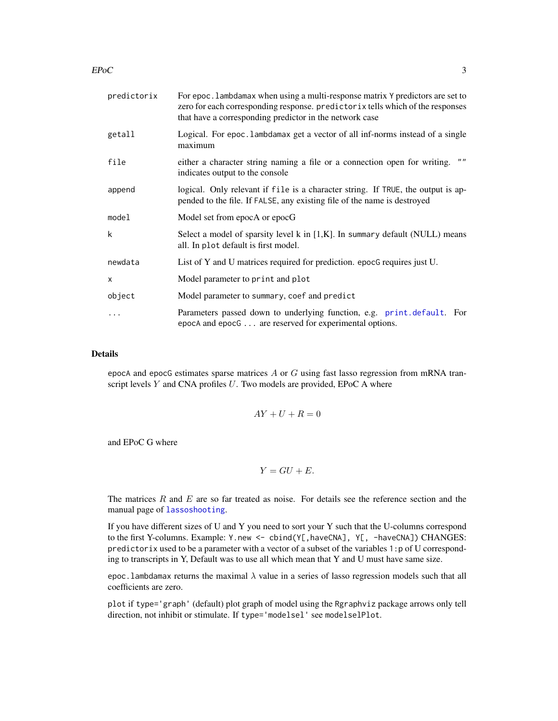<span id="page-2-0"></span> $EPoC$  3

| predictorix  | For epoc. Lambdamax when using a multi-response matrix Y predictors are set to<br>zero for each corresponding response. predictorix tells which of the responses<br>that have a corresponding predictor in the network case |
|--------------|-----------------------------------------------------------------------------------------------------------------------------------------------------------------------------------------------------------------------------|
| getall       | Logical. For epoc. Lambdamax get a vector of all inf-norms instead of a single<br>maximum                                                                                                                                   |
| file         | 1111<br>either a character string naming a file or a connection open for writing.<br>indicates output to the console                                                                                                        |
| append       | logical. Only relevant if file is a character string. If TRUE, the output is ap-<br>pended to the file. If FALSE, any existing file of the name is destroyed                                                                |
| model        | Model set from epocA or epocG                                                                                                                                                                                               |
| k            | Select a model of sparsity level $k$ in $[1,K]$ . In summary default (NULL) means<br>all. In plot default is first model.                                                                                                   |
| newdata      | List of Y and U matrices required for prediction. epocG requires just U.                                                                                                                                                    |
| $\mathsf{x}$ | Model parameter to print and plot                                                                                                                                                                                           |
| object       | Model parameter to summary, coef and predict                                                                                                                                                                                |
|              | Parameters passed down to underlying function, e.g. print.default. For<br>epocA and epocG are reserved for experimental options.                                                                                            |

## Details

epocA and epocG estimates sparse matrices  $A$  or  $G$  using fast lasso regression from mRNA transcript levels  $Y$  and CNA profiles  $U$ . Two models are provided, EPoC A where

$$
AY + U + R = 0
$$

and EPoC G where

$$
Y = GU + E.
$$

The matrices  $R$  and  $E$  are so far treated as noise. For details see the reference section and the manual page of [lassoshooting](#page-0-0).

If you have different sizes of U and Y you need to sort your Y such that the U-columns correspond to the first Y-columns. Example: Y.new <- cbind(Y[,haveCNA], Y[, -haveCNA]) CHANGES: predictorix used to be a parameter with a vector of a subset of the variables 1:p of U corresponding to transcripts in Y, Default was to use all which mean that Y and U must have same size.

epoc. lambdamax returns the maximal  $\lambda$  value in a series of lasso regression models such that all coefficients are zero.

plot if type='graph' (default) plot graph of model using the Rgraphviz package arrows only tell direction, not inhibit or stimulate. If type='modelsel' see modelselPlot.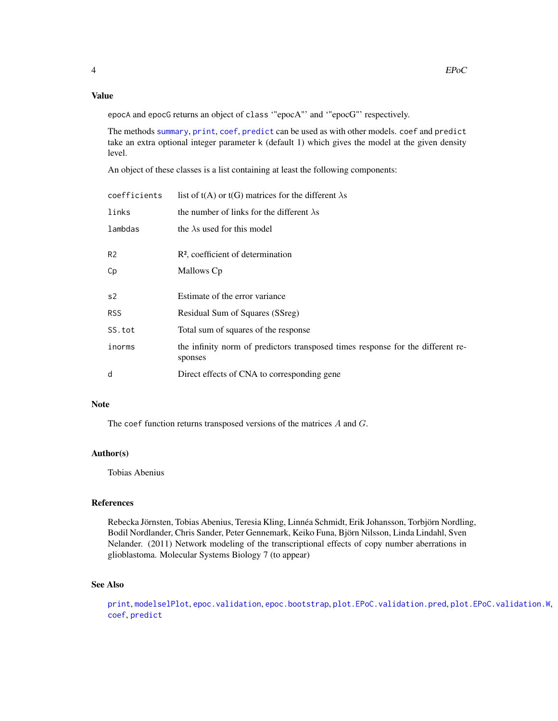# <span id="page-3-0"></span>Value

epocA and epocG returns an object of class '"epocA"' and '"epocG"' respectively.

The methods [summary](#page-0-0), [print](#page-0-0), [coef](#page-0-0), [predict](#page-0-0) can be used as with other models. coef and predict take an extra optional integer parameter k (default 1) which gives the model at the given density level.

An object of these classes is a list containing at least the following components:

| coefficients   | list of t(A) or t(G) matrices for the different $\lambda$ s                                |
|----------------|--------------------------------------------------------------------------------------------|
| links          | the number of links for the different $\lambda$ s                                          |
| lambdas        | the $\lambda$ s used for this model                                                        |
| R <sub>2</sub> | $R2$ , coefficient of determination                                                        |
| Сp             | Mallows Cp                                                                                 |
| s2             | Estimate of the error variance                                                             |
| <b>RSS</b>     | Residual Sum of Squares (SSreg)                                                            |
| SS.tot         | Total sum of squares of the response                                                       |
| inorms         | the infinity norm of predictors transposed times response for the different re-<br>sponses |
| d              | Direct effects of CNA to corresponding gene                                                |

# Note

The coef function returns transposed versions of the matrices A and G.

### Author(s)

Tobias Abenius

# References

Rebecka Jörnsten, Tobias Abenius, Teresia Kling, Linnéa Schmidt, Erik Johansson, Torbjörn Nordling, Bodil Nordlander, Chris Sander, Peter Gennemark, Keiko Funa, Björn Nilsson, Linda Lindahl, Sven Nelander. (2011) Network modeling of the transcriptional effects of copy number aberrations in glioblastoma. Molecular Systems Biology 7 (to appear)

# See Also

[print](#page-0-0), [modelselPlot](#page-8-1), [epoc.validation](#page-7-1), [epoc.bootstrap](#page-4-1), [plot.EPoC.validation.pred](#page-10-1), [plot.EPoC.validation.W](#page-10-1), [coef](#page-0-0), [predict](#page-0-0)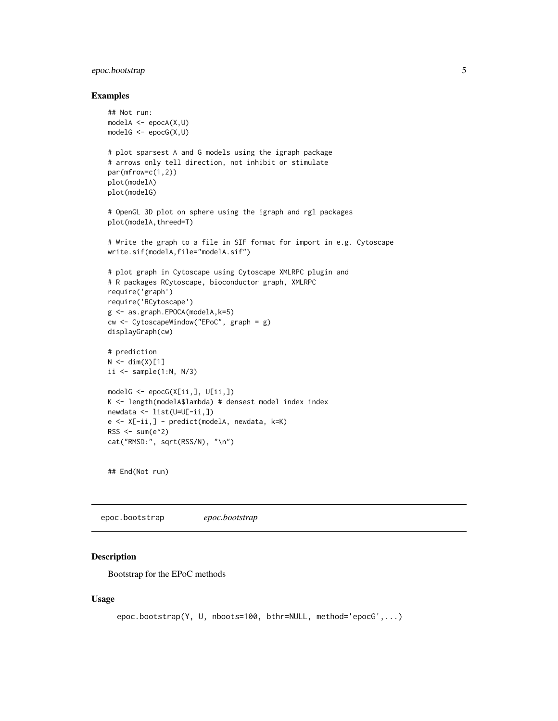# <span id="page-4-0"></span>epoc.bootstrap 5

#### Examples

```
## Not run:
modelA \leq epocA(X, U)modelG \leq epocG(X, U)# plot sparsest A and G models using the igraph package
# arrows only tell direction, not inhibit or stimulate
par(mfrow=c(1,2))
plot(modelA)
plot(modelG)
# OpenGL 3D plot on sphere using the igraph and rgl packages
plot(modelA,threed=T)
# Write the graph to a file in SIF format for import in e.g. Cytoscape
write.sif(modelA,file="modelA.sif")
# plot graph in Cytoscape using Cytoscape XMLRPC plugin and
# R packages RCytoscape, bioconductor graph, XMLRPC
require('graph')
require('RCytoscape')
g <- as.graph.EPOCA(modelA,k=5)
cw <- CytoscapeWindow("EPoC", graph = g)
displayGraph(cw)
# prediction
N < -dim(X)[1]ii \leq sample(1:N, N/3)
modelG <- epocG(X[ii,], U[ii,])
K <- length(modelA$lambda) # densest model index index
newdata <- list(U=U[-ii,])
e <- X[-ii,] - predict(modelA, newdata, k=K)
RSS < -sum(e^2)cat("RMSD:", sqrt(RSS/N), "\n")
```
## End(Not run)

<span id="page-4-1"></span>epoc.bootstrap *epoc.bootstrap*

# <span id="page-4-2"></span>Description

Bootstrap for the EPoC methods

#### Usage

```
epoc.bootstrap(Y, U, nboots=100, bthr=NULL, method='epocG',...)
```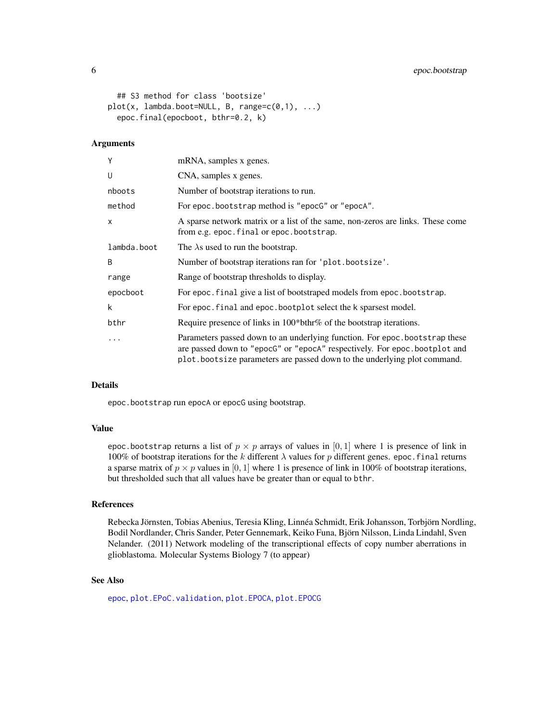```
## S3 method for class 'bootsize'
plot(x, lambda.boot=NULL, B, range=c(0,1), ...)epoc.final(epocboot, bthr=0.2, k)
```
#### Arguments

| Υ           | mRNA, samples x genes.                                                                                                                                                                                                              |
|-------------|-------------------------------------------------------------------------------------------------------------------------------------------------------------------------------------------------------------------------------------|
| U           | CNA, samples x genes.                                                                                                                                                                                                               |
| nboots      | Number of bootstrap iterations to run.                                                                                                                                                                                              |
| method      | For epoc.bootstrap method is "epocG" or "epocA".                                                                                                                                                                                    |
| X           | A sparse network matrix or a list of the same, non-zeros are links. These come<br>from e.g. epoc. final or epoc. bootstrap.                                                                                                         |
| lambda.boot | The $\lambda$ s used to run the bootstrap.                                                                                                                                                                                          |
| B           | Number of bootstrap iterations ran for 'plot.bootsize'.                                                                                                                                                                             |
| range       | Range of bootstrap thresholds to display.                                                                                                                                                                                           |
| epocboot    | For epoc. final give a list of bootstraped models from epoc. bootstrap.                                                                                                                                                             |
| k           | For epoc. final and epoc. bootplot select the k sparsest model.                                                                                                                                                                     |
| bthr        | Require presence of links in 100*bthr% of the bootstrap iterations.                                                                                                                                                                 |
|             | Parameters passed down to an underlying function. For epoc.bootstrap these<br>are passed down to "epocG" or "epocA" respectively. For epoc.bootplot and<br>plot bootsize parameters are passed down to the underlying plot command. |

# Details

epoc.bootstrap run epocA or epocG using bootstrap.

# Value

epoc.bootstrap returns a list of  $p \times p$  arrays of values in [0, 1] where 1 is presence of link in 100% of bootstrap iterations for the k different  $\lambda$  values for p different genes. epoc. final returns a sparse matrix of  $p \times p$  values in [0, 1] where 1 is presence of link in 100% of bootstrap iterations, but thresholded such that all values have be greater than or equal to bthr.

# References

Rebecka Jörnsten, Tobias Abenius, Teresia Kling, Linnéa Schmidt, Erik Johansson, Torbjörn Nordling, Bodil Nordlander, Chris Sander, Peter Gennemark, Keiko Funa, Björn Nilsson, Linda Lindahl, Sven Nelander. (2011) Network modeling of the transcriptional effects of copy number aberrations in glioblastoma. Molecular Systems Biology 7 (to appear)

# See Also

[epoc](#page-1-1), [plot.EPoC.validation](#page-10-2), [plot.EPOCA](#page-8-2), [plot.EPOCG](#page-8-2)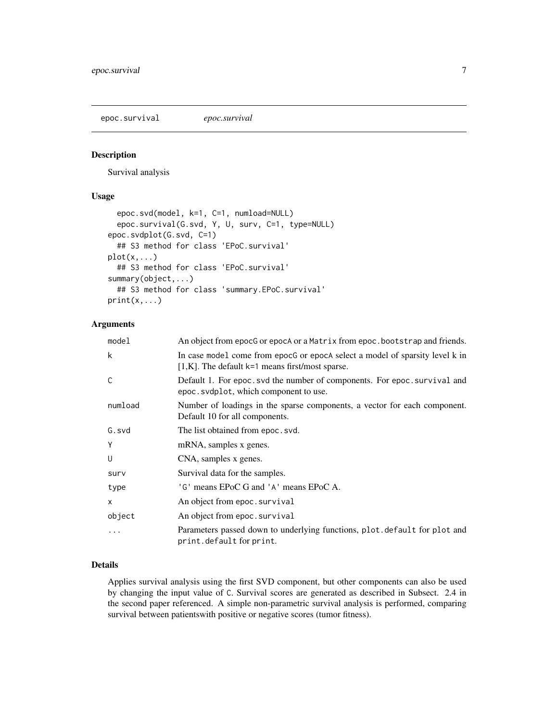<span id="page-6-0"></span>epoc.survival *epoc.survival*

# Description

Survival analysis

# Usage

```
epoc.svd(model, k=1, C=1, numload=NULL)
  epoc.survival(G.svd, Y, U, surv, C=1, type=NULL)
epoc.svdplot(G.svd, C=1)
  ## S3 method for class 'EPoC.survival'
plot(x, \ldots)## S3 method for class 'EPoC.survival'
summary(object,...)
  ## S3 method for class 'summary.EPoC.survival'
print(x, \ldots)
```
# Arguments

| model        | An object from epocG or epocA or a Matrix from epoc. bootstrap and friends.                                                        |
|--------------|------------------------------------------------------------------------------------------------------------------------------------|
| k            | In case model come from epocG or epocA select a model of sparsity level k in<br>$[1,K]$ . The default k=1 means first/most sparse. |
| C            | Default 1. For epoc. svd the number of components. For epoc. survival and<br>epoc.svdplot, which component to use.                 |
| numload      | Number of loadings in the sparse components, a vector for each component.<br>Default 10 for all components.                        |
| G.svd        | The list obtained from epoc. svd.                                                                                                  |
| Y            | mRNA, samples x genes.                                                                                                             |
| U            | CNA, samples x genes.                                                                                                              |
| surv         | Survival data for the samples.                                                                                                     |
| type         | 'G' means EPoC G and 'A' means EPoC A.                                                                                             |
| $\mathsf{x}$ | An object from epoc. survival                                                                                                      |
| object       | An object from epoc. survival                                                                                                      |
| .            | Parameters passed down to underlying functions, plot.default for plot and<br>print.defaultforprint.                                |

#### Details

Applies survival analysis using the first SVD component, but other components can also be used by changing the input value of C. Survival scores are generated as described in Subsect. 2.4 in the second paper referenced. A simple non-parametric survival analysis is performed, comparing survival between patientswith positive or negative scores (tumor fitness).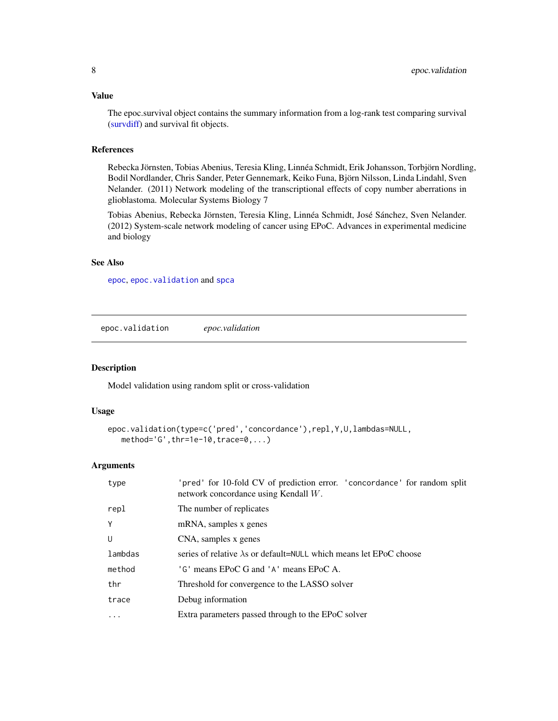<span id="page-7-0"></span>The epoc.survival object contains the summary information from a log-rank test comparing survival [\(survdiff\)](#page-0-0) and survival fit objects.

# References

Rebecka Jörnsten, Tobias Abenius, Teresia Kling, Linnéa Schmidt, Erik Johansson, Torbjörn Nordling, Bodil Nordlander, Chris Sander, Peter Gennemark, Keiko Funa, Björn Nilsson, Linda Lindahl, Sven Nelander. (2011) Network modeling of the transcriptional effects of copy number aberrations in glioblastoma. Molecular Systems Biology 7

Tobias Abenius, Rebecka Jörnsten, Teresia Kling, Linnéa Schmidt, José Sánchez, Sven Nelander. (2012) System-scale network modeling of cancer using EPoC. Advances in experimental medicine and biology

### See Also

[epoc](#page-1-1), [epoc.validation](#page-7-1) and [spca](#page-0-0)

<span id="page-7-1"></span>epoc.validation *epoc.validation*

#### Description

Model validation using random split or cross-validation

# Usage

```
epoc.validation(type=c('pred','concordance'),repl,Y,U,lambdas=NULL,
   method='G',thr=1e-10,trace=0, \ldots)
```

| type     | 'pred' for 10-fold CV of prediction error. 'concordance' for random split<br>network concordance using Kendall $W$ . |
|----------|----------------------------------------------------------------------------------------------------------------------|
| repl     | The number of replicates                                                                                             |
| Y        | mRNA, samples x genes                                                                                                |
| U        | CNA, samples x genes                                                                                                 |
| lambdas  | series of relative $\lambda$ s or default=NULL which means let EPoC choose                                           |
| method   | 'G' means EPoC G and 'A' means EPoC A.                                                                               |
| thr      | Threshold for convergence to the LASSO solver                                                                        |
| trace    | Debug information                                                                                                    |
| $\cdots$ | Extra parameters passed through to the EPoC solver                                                                   |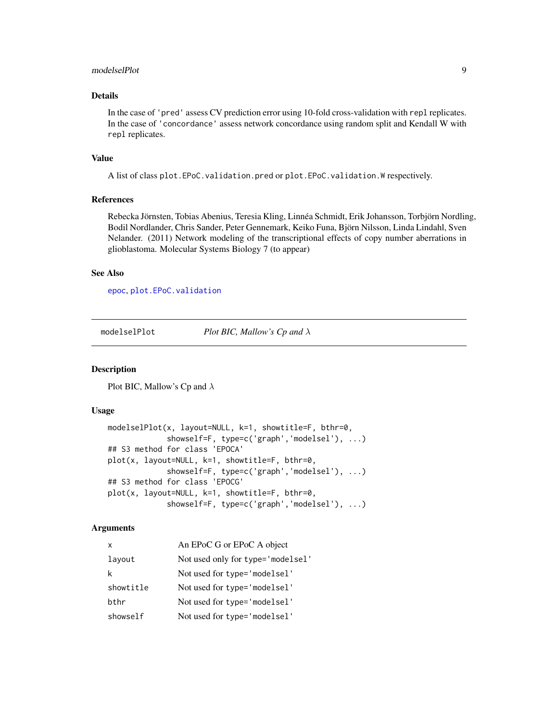#### <span id="page-8-0"></span>modelselPlot 9

# Details

In the case of 'pred' assess CV prediction error using 10-fold cross-validation with repl replicates. In the case of 'concordance' assess network concordance using random split and Kendall W with repl replicates.

#### Value

A list of class plot.EPoC.validation.pred or plot.EPoC.validation.W respectively.

# References

Rebecka Jörnsten, Tobias Abenius, Teresia Kling, Linnéa Schmidt, Erik Johansson, Torbjörn Nordling, Bodil Nordlander, Chris Sander, Peter Gennemark, Keiko Funa, Björn Nilsson, Linda Lindahl, Sven Nelander. (2011) Network modeling of the transcriptional effects of copy number aberrations in glioblastoma. Molecular Systems Biology 7 (to appear)

### See Also

[epoc](#page-1-1), [plot.EPoC.validation](#page-10-2)

<span id="page-8-1"></span>modelselPlot *Plot BIC, Mallow's Cp and* λ

#### <span id="page-8-2"></span>Description

Plot BIC, Mallow's Cp and  $\lambda$ 

# Usage

```
modelselPlot(x, layout=NULL, k=1, showtitle=F, bthr=0,
             showself=F, type=c('graph','modelsel'), ...)
## S3 method for class 'EPOCA'
plot(x, layout=NULL, k=1, showtitle=F, bthr=0,
             showself=F, type=c('graph','modelsel'), ...)
## S3 method for class 'EPOCG'
plot(x, layout=NULL, k=1, showtitle=F, bthr=0,
             showself=F, type=c('graph','modelsel'), ...)
```

| x         | An EPoC G or EPoC A object        |
|-----------|-----------------------------------|
| layout    | Not used only for type='modelsel' |
| k         | Not used for type='modelsel'      |
| showtitle | Not used for type='modelsel'      |
| bthr      | Not used for type='modelsel'      |
| showself  | Not used for type='modelsel'      |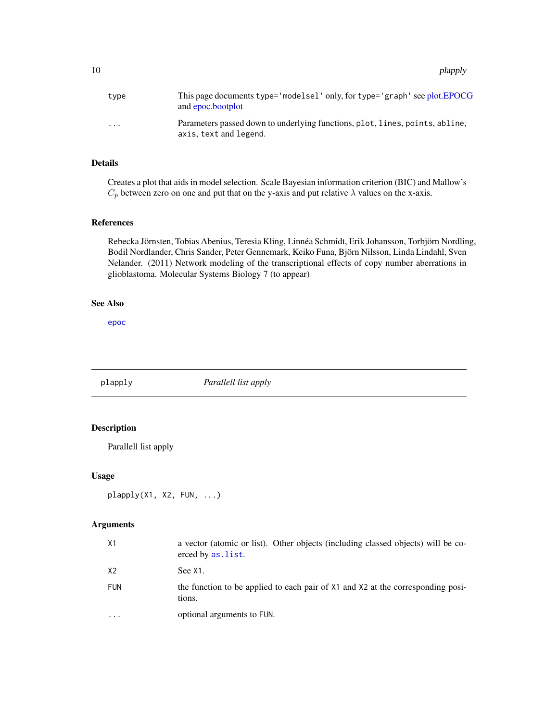<span id="page-9-0"></span>10 plapply

| type                    | This page documents type='modelsel' only, for type='graph' see plot.EPOCG<br>and epoc.bootplot         |
|-------------------------|--------------------------------------------------------------------------------------------------------|
| $\cdot$ $\cdot$ $\cdot$ | Parameters passed down to underlying functions, plot, lines, points, abline,<br>axis, text and legend. |

# Details

Creates a plot that aids in model selection. Scale Bayesian information criterion (BIC) and Mallow's  $C_p$  between zero on one and put that on the y-axis and put relative  $\lambda$  values on the x-axis.

# References

Rebecka Jörnsten, Tobias Abenius, Teresia Kling, Linnéa Schmidt, Erik Johansson, Torbjörn Nordling, Bodil Nordlander, Chris Sander, Peter Gennemark, Keiko Funa, Björn Nilsson, Linda Lindahl, Sven Nelander. (2011) Network modeling of the transcriptional effects of copy number aberrations in glioblastoma. Molecular Systems Biology 7 (to appear)

# See Also

[epoc](#page-1-1)

plapply *Parallell list apply* Description

Parallell list apply

# Usage

plapply(X1, X2, FUN, ...)

| X1                      | a vector (atomic or list). Other objects (including classed objects) will be co-<br>erced by as. list. |
|-------------------------|--------------------------------------------------------------------------------------------------------|
| X <sub>2</sub>          | See X1.                                                                                                |
| <b>FUN</b>              | the function to be applied to each pair of X1 and X2 at the corresponding posi-<br>tions.              |
| $\cdot$ $\cdot$ $\cdot$ | optional arguments to FUN.                                                                             |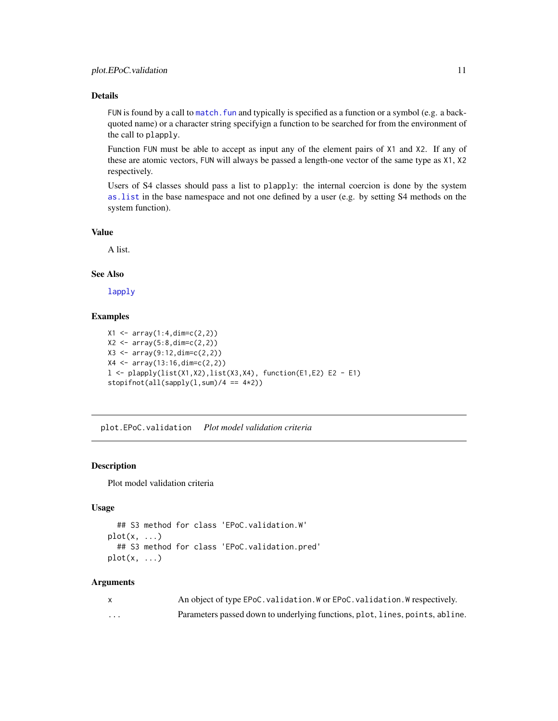# <span id="page-10-0"></span>Details

FUN is found by a call to [match.fun](#page-0-0) and typically is specified as a function or a symbol (e.g. a backquoted name) or a character string specifyign a function to be searched for from the environment of the call to plapply.

Function FUN must be able to accept as input any of the element pairs of X1 and X2. If any of these are atomic vectors, FUN will always be passed a length-one vector of the same type as X1, X2 respectively.

Users of S4 classes should pass a list to plapply: the internal coercion is done by the system [as.list](#page-0-0) in the base namespace and not one defined by a user (e.g. by setting S4 methods on the system function).

#### Value

A list.

#### See Also

[lapply](#page-0-0)

# Examples

```
X1 \leftarrow array(1:4, \text{dim} = c(2, 2))X2 \leq -\arctan(5:8, \text{dim} = c(2,2))X3 \leq -\arctan(9:12, \text{dim} = c(2,2))X4 <- array(13:16,dim=c(2,2))
l <- plapply(list(X1,X2),list(X3,X4), function(E1,E2) E2 - E1)
stopifnot(all(sapply(1,sum)/4 == 4*2))
```
<span id="page-10-2"></span>plot.EPoC.validation *Plot model validation criteria*

# <span id="page-10-1"></span>Description

Plot model validation criteria

# Usage

```
## S3 method for class 'EPoC.validation.W'
plot(x, \ldots)## S3 method for class 'EPoC.validation.pred'
plot(x, \ldots)
```

|          | An object of type EPoC. validation. W or EPoC. validation. W respectively.   |
|----------|------------------------------------------------------------------------------|
| $\cdots$ | Parameters passed down to underlying functions, plot, lines, points, abline. |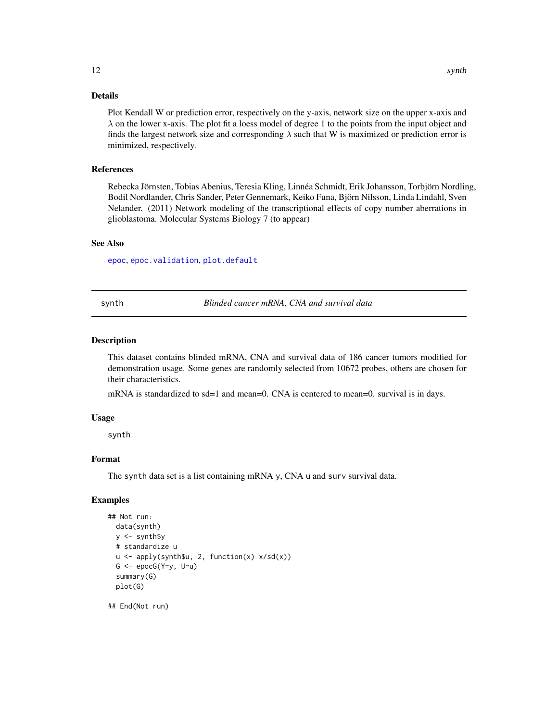# <span id="page-11-0"></span>Details

Plot Kendall W or prediction error, respectively on the y-axis, network size on the upper x-axis and  $\lambda$  on the lower x-axis. The plot fit a loess model of degree 1 to the points from the input object and finds the largest network size and corresponding  $\lambda$  such that W is maximized or prediction error is minimized, respectively.

# References

Rebecka Jörnsten, Tobias Abenius, Teresia Kling, Linnéa Schmidt, Erik Johansson, Torbjörn Nordling, Bodil Nordlander, Chris Sander, Peter Gennemark, Keiko Funa, Björn Nilsson, Linda Lindahl, Sven Nelander. (2011) Network modeling of the transcriptional effects of copy number aberrations in glioblastoma. Molecular Systems Biology 7 (to appear)

#### See Also

[epoc](#page-1-1), [epoc.validation](#page-7-1), [plot.default](#page-0-0)

synth *Blinded cancer mRNA, CNA and survival data*

#### Description

This dataset contains blinded mRNA, CNA and survival data of 186 cancer tumors modified for demonstration usage. Some genes are randomly selected from 10672 probes, others are chosen for their characteristics.

mRNA is standardized to sd=1 and mean=0. CNA is centered to mean=0. survival is in days.

#### Usage

synth

# Format

The synth data set is a list containing mRNA y, CNA u and surv survival data.

# Examples

```
## Not run:
  data(synth)
  y <- synth$y
  # standardize u
  u <- apply(synth$u, 2, function(x) x/sd(x))
  G \leftarrow \text{epocG}(Y=y, U=u)summary(G)
  plot(G)
```
## End(Not run)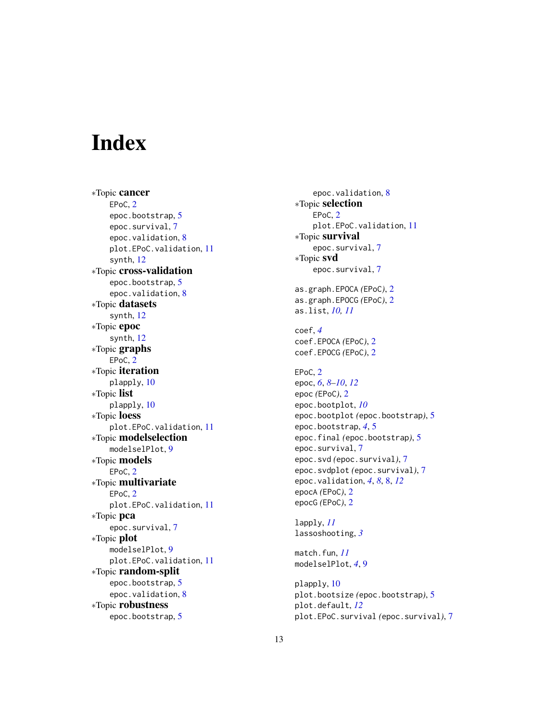# <span id="page-12-0"></span>**Index**

∗Topic cancer EPoC, [2](#page-1-0) epoc.bootstrap , [5](#page-4-0) epoc.survival , [7](#page-6-0) epoc.validation , [8](#page-7-0) plot.EPoC.validation , [11](#page-10-0) synth , [12](#page-11-0) ∗Topic cross-validation epoc.bootstrap , [5](#page-4-0) epoc.validation , [8](#page-7-0) ∗Topic datasets synth , [12](#page-11-0) ∗Topic epoc synth , [12](#page-11-0) ∗Topic graphs EPoC, [2](#page-1-0) ∗Topic iteration plapply , [10](#page-9-0) ∗Topic list plapply , [10](#page-9-0) ∗Topic loess plot.EPoC.validation , [11](#page-10-0) ∗Topic modelselection modelselPlot , [9](#page-8-0) ∗Topic models EPoC, [2](#page-1-0) ∗Topic multivariate EPoC, [2](#page-1-0) plot.EPoC.validation , [11](#page-10-0) ∗Topic pca epoc.survival , [7](#page-6-0) ∗Topic plot modelselPlot , [9](#page-8-0) plot.EPoC.validation , [11](#page-10-0) ∗Topic random-split epoc.bootstrap , [5](#page-4-0) epoc.validation , [8](#page-7-0) ∗Topic robustness epoc.bootstrap , [5](#page-4-0)

epoc.validation , [8](#page-7-0) ∗Topic selection EPoC, [2](#page-1-0) plot.EPoC.validation , [11](#page-10-0) ∗Topic survival epoc.survival,[7](#page-6-0) ∗Topic svd epoc.survival , [7](#page-6-0) as.graph.EPOCA *(*EPoC *)* , [2](#page-1-0) as.graph.EPOCG *(*EPoC *)* , [2](#page-1-0) as.list , *[10](#page-9-0) , [11](#page-10-0)* coef , *[4](#page-3-0)* coef.EPOCA *(*EPoC *)* , [2](#page-1-0) coef.EPOCG *(*EPoC *)* , [2](#page-1-0) EPoC, [2](#page-1-0) epoc , *[6](#page-5-0)* , *[8](#page-7-0) [–10](#page-9-0)* , *[12](#page-11-0)* epoc *(*EPoC *)* , [2](#page-1-0) epoc.bootplot , *[10](#page-9-0)* epoc.bootplot *(*epoc.bootstrap *)* , [5](#page-4-0) epoc.bootstrap , *[4](#page-3-0)* , [5](#page-4-0) epoc.final *(*epoc.bootstrap *)* , [5](#page-4-0) epoc.survival,[7](#page-6-0) epoc.svd *(*epoc.survival *)* , [7](#page-6-0) epoc.svdplot *(*epoc.survival *)* , [7](#page-6-0) epoc.validation , *[4](#page-3-0)* , *[8](#page-7-0)* , [8](#page-7-0) , *[12](#page-11-0)* epocA *(*EPoC *)* , [2](#page-1-0) epocG *(*EPoC *)* , [2](#page-1-0) lapply , *[11](#page-10-0)* lassoshooting , *[3](#page-2-0)* match.fun , *[11](#page-10-0)*

plapply , [10](#page-9-0) plot.bootsize *(*epoc.bootstrap *)* , [5](#page-4-0) plot.default , *[12](#page-11-0)* plot.EPoC.survival *(*epoc.survival *)* , [7](#page-6-0)

modelselPlot , *[4](#page-3-0)* , [9](#page-8-0)